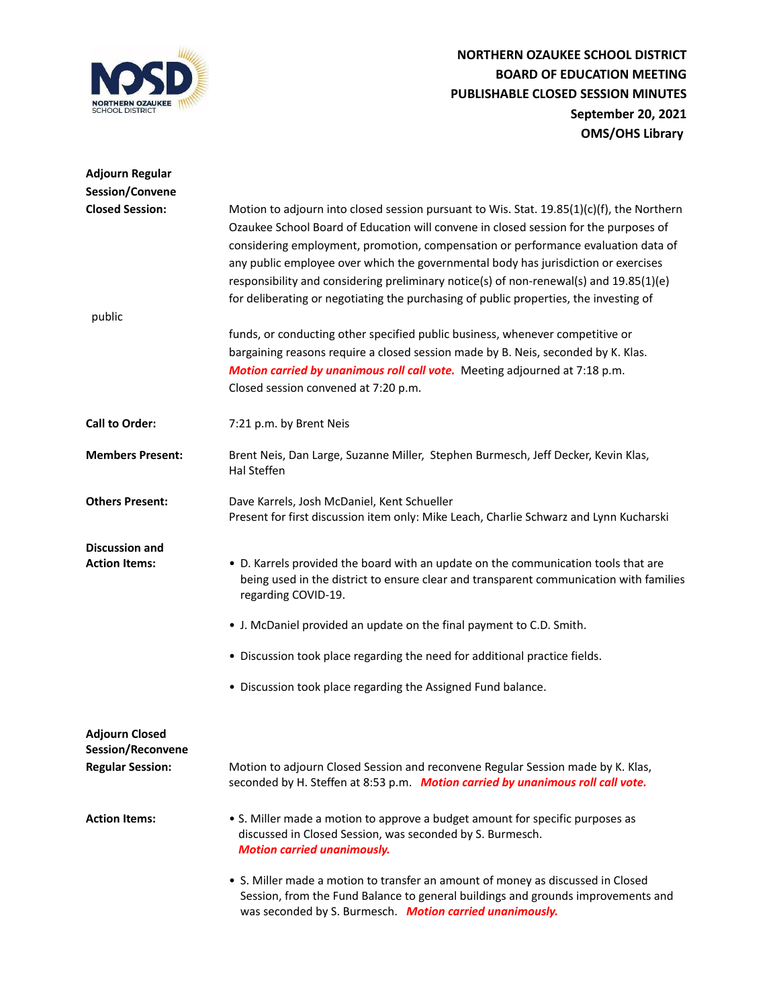

| <b>Adjourn Regular</b>                        |                                                                                                                                                                                                                                                                                                                                                                                                                                                                                                                                                 |
|-----------------------------------------------|-------------------------------------------------------------------------------------------------------------------------------------------------------------------------------------------------------------------------------------------------------------------------------------------------------------------------------------------------------------------------------------------------------------------------------------------------------------------------------------------------------------------------------------------------|
| Session/Convene                               |                                                                                                                                                                                                                                                                                                                                                                                                                                                                                                                                                 |
| <b>Closed Session:</b>                        | Motion to adjourn into closed session pursuant to Wis. Stat. 19.85(1)(c)(f), the Northern<br>Ozaukee School Board of Education will convene in closed session for the purposes of<br>considering employment, promotion, compensation or performance evaluation data of<br>any public employee over which the governmental body has jurisdiction or exercises<br>responsibility and considering preliminary notice(s) of non-renewal(s) and 19.85(1)(e)<br>for deliberating or negotiating the purchasing of public properties, the investing of |
| public                                        |                                                                                                                                                                                                                                                                                                                                                                                                                                                                                                                                                 |
|                                               | funds, or conducting other specified public business, whenever competitive or<br>bargaining reasons require a closed session made by B. Neis, seconded by K. Klas.<br>Motion carried by unanimous roll call vote. Meeting adjourned at 7:18 p.m.<br>Closed session convened at 7:20 p.m.                                                                                                                                                                                                                                                        |
| <b>Call to Order:</b>                         | 7:21 p.m. by Brent Neis                                                                                                                                                                                                                                                                                                                                                                                                                                                                                                                         |
| <b>Members Present:</b>                       | Brent Neis, Dan Large, Suzanne Miller, Stephen Burmesch, Jeff Decker, Kevin Klas,<br>Hal Steffen                                                                                                                                                                                                                                                                                                                                                                                                                                                |
| <b>Others Present:</b>                        | Dave Karrels, Josh McDaniel, Kent Schueller<br>Present for first discussion item only: Mike Leach, Charlie Schwarz and Lynn Kucharski                                                                                                                                                                                                                                                                                                                                                                                                           |
| <b>Discussion and</b><br><b>Action Items:</b> | • D. Karrels provided the board with an update on the communication tools that are<br>being used in the district to ensure clear and transparent communication with families<br>regarding COVID-19.                                                                                                                                                                                                                                                                                                                                             |
|                                               | • J. McDaniel provided an update on the final payment to C.D. Smith.                                                                                                                                                                                                                                                                                                                                                                                                                                                                            |
|                                               | . Discussion took place regarding the need for additional practice fields.                                                                                                                                                                                                                                                                                                                                                                                                                                                                      |
|                                               | • Discussion took place regarding the Assigned Fund balance.                                                                                                                                                                                                                                                                                                                                                                                                                                                                                    |
| <b>Adjourn Closed</b><br>Session/Reconvene    |                                                                                                                                                                                                                                                                                                                                                                                                                                                                                                                                                 |
| <b>Regular Session:</b>                       | Motion to adjourn Closed Session and reconvene Regular Session made by K. Klas,<br>seconded by H. Steffen at 8:53 p.m. Motion carried by unanimous roll call vote.                                                                                                                                                                                                                                                                                                                                                                              |
| <b>Action Items:</b>                          | • S. Miller made a motion to approve a budget amount for specific purposes as<br>discussed in Closed Session, was seconded by S. Burmesch.<br><b>Motion carried unanimously.</b>                                                                                                                                                                                                                                                                                                                                                                |
|                                               | • S. Miller made a motion to transfer an amount of money as discussed in Closed<br>Session, from the Fund Balance to general buildings and grounds improvements and<br>was seconded by S. Burmesch. Motion carried unanimously.                                                                                                                                                                                                                                                                                                                 |